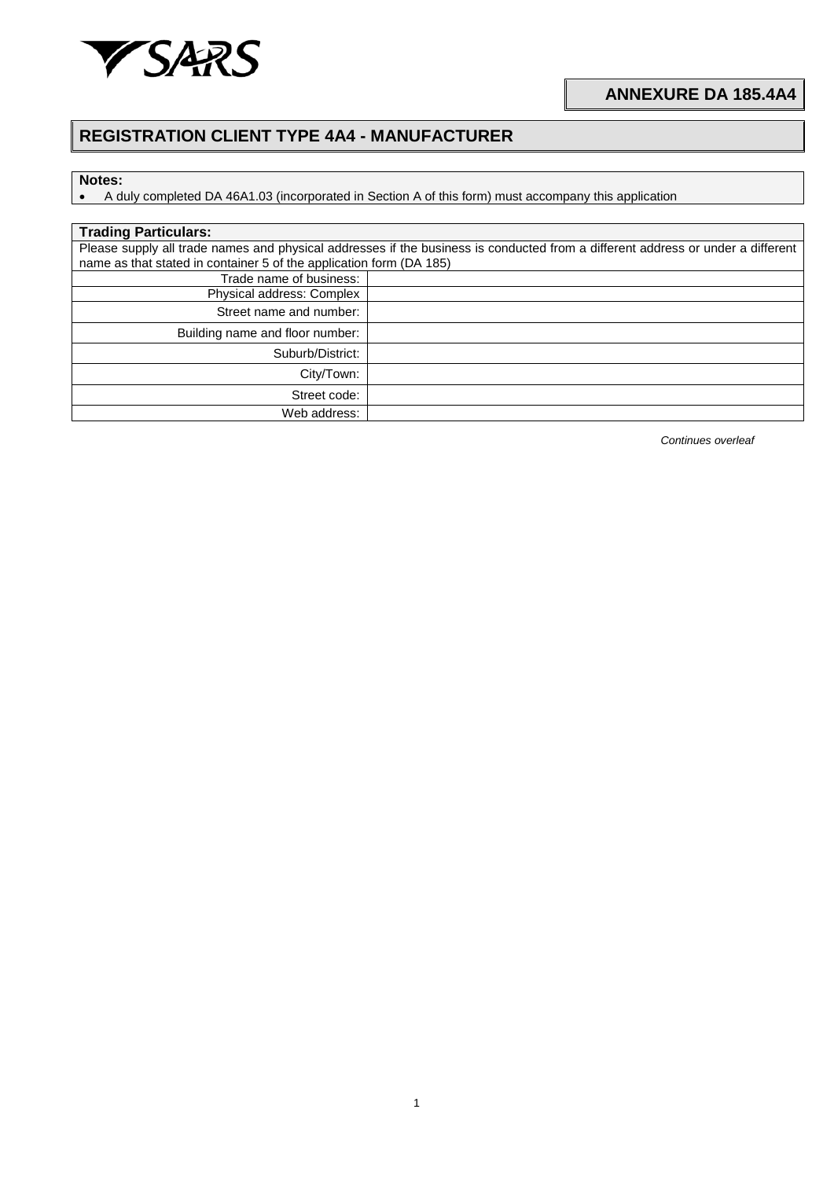

## **REGISTRATION CLIENT TYPE 4A4 - MANUFACTURER**

## **Notes:**

• A duly completed DA 46A1.03 (incorporated in Section A of this form) must accompany this application

| <b>Trading Particulars:</b>                                                                                                     |  |  |  |
|---------------------------------------------------------------------------------------------------------------------------------|--|--|--|
| Please supply all trade names and physical addresses if the business is conducted from a different address or under a different |  |  |  |
| name as that stated in container 5 of the application form (DA 185)                                                             |  |  |  |
| Trade name of business:                                                                                                         |  |  |  |
| Physical address: Complex                                                                                                       |  |  |  |
| Street name and number:                                                                                                         |  |  |  |
| Building name and floor number:                                                                                                 |  |  |  |
| Suburb/District:                                                                                                                |  |  |  |
| City/Town:                                                                                                                      |  |  |  |
| Street code:                                                                                                                    |  |  |  |
| Web address:                                                                                                                    |  |  |  |

*Continues overleaf*